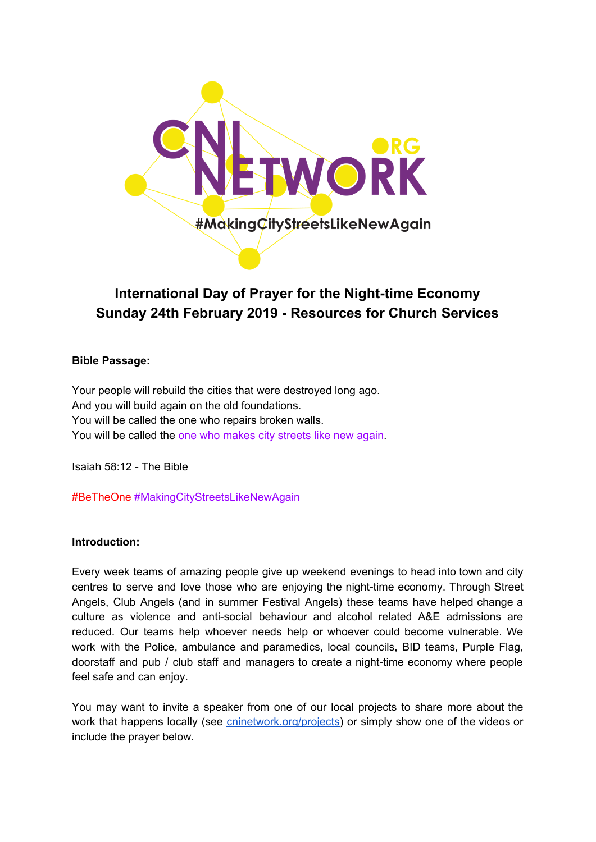

# **International Day of Prayer for the Night-time Economy Sunday 24th February 2019 - Resources for Church Services**

## **Bible Passage:**

Your people will rebuild the cities that were destroyed long ago. And you will build again on the old foundations. You will be called the one who repairs broken walls. You will be called the one who makes city streets like new again.

Isaiah 58:12 - The Bible

#BeTheOne #MakingCityStreetsLikeNewAgain

## **Introduction:**

Every week teams of amazing people give up weekend evenings to head into town and city centres to serve and love those who are enjoying the night-time economy. Through Street Angels, Club Angels (and in summer Festival Angels) these teams have helped change a culture as violence and anti-social behaviour and alcohol related A&E admissions are reduced. Our teams help whoever needs help or whoever could become vulnerable. We work with the Police, ambulance and paramedics, local councils, BID teams, Purple Flag, doorstaff and pub / club staff and managers to create a night-time economy where people feel safe and can enjoy.

You may want to invite a speaker from one of our local projects to share more about the work that happens locally (see *cninetwork.org/projects*) or simply show one of the videos or include the prayer below.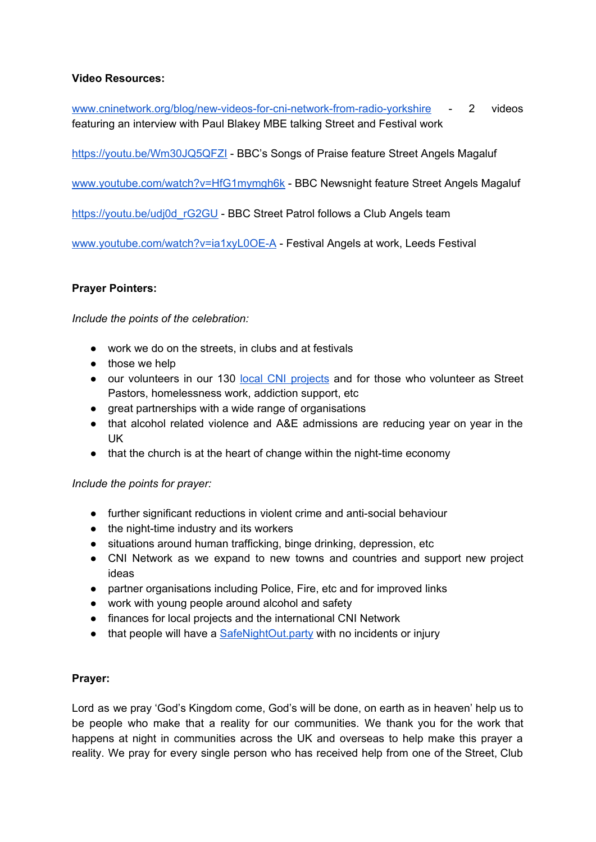# **Video Resources:**

[www.cninetwork.org/blog/new-videos-for-cni-network-from-radio-yorkshire](http://www.cninetwork.org/blog/new-videos-for-cni-network-from-radio-yorkshire) - 2 videos featuring an interview with Paul Blakey MBE talking Street and Festival work

<https://youtu.be/Wm30JQ5QFZI> - BBC's Songs of Praise feature Street Angels Magaluf

[www.youtube.com/watch?v=HfG1mymgh6k](https://www.youtube.com/watch?v=HfG1mymgh6k) - BBC Newsnight feature Street Angels Magaluf

[https://youtu.be/udj0d\\_rG2GU](https://youtu.be/udj0d_rG2GU) - BBC Street Patrol follows a Club Angels team

[www.youtube.com/watch?v=ia1xyL0OE-A](http://www.youtube.com/watch?v=ia1xyL0OE-A) - Festival Angels at work, Leeds Festival

# **Prayer Pointers:**

*Include the points of the celebration:*

- work we do on the streets, in clubs and at festivals
- those we help
- our volunteers in our 130 local CNI [projects](http://www.sa-cni.org.uk/projects.html) and for those who volunteer as Street Pastors, homelessness work, addiction support, etc
- great partnerships with a wide range of organisations
- that alcohol related violence and A&E admissions are reducing year on year in the UK
- that the church is at the heart of change within the night-time economy

## *Include the points for prayer:*

- further significant reductions in violent crime and anti-social behaviour
- the night-time industry and its workers
- situations around human trafficking, binge drinking, depression, etc
- CNI Network as we expand to new towns and countries and support new project ideas
- partner organisations including Police, Fire, etc and for improved links
- work with young people around alcohol and safety
- finances for local projects and the international CNI Network
- that people will have a **[SafeNightOut.party](http://www.cninetwork.org/safenightout-party.html)** with no incidents or injury

## **Prayer:**

Lord as we pray 'God's Kingdom come, God's will be done, on earth as in heaven' help us to be people who make that a reality for our communities. We thank you for the work that happens at night in communities across the UK and overseas to help make this prayer a reality. We pray for every single person who has received help from one of the Street, Club